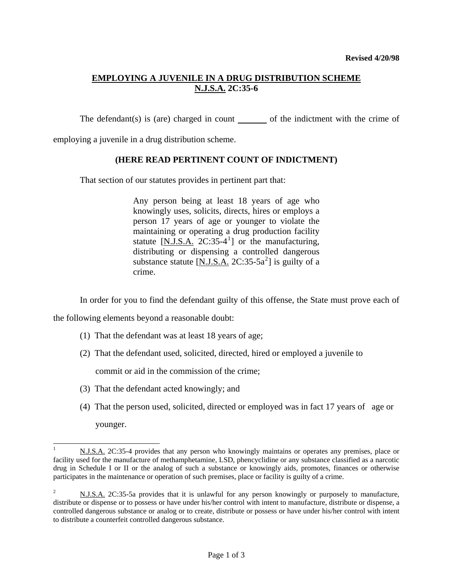## **EMPLOYING A JUVENILE IN A DRUG DISTRIBUTION SCHEME N.J.S.A. 2C:35-6**

The defendant(s) is (are) charged in count  $\qquad$  of the indictment with the crime of

employing a juvenile in a drug distribution scheme.

### **(HERE READ PERTINENT COUNT OF INDICTMENT)**

That section of our statutes provides in pertinent part that:

Any person being at least 18 years of age who knowingly uses, solicits, directs, hires or employs a person 17 years of age or younger to violate the maintaining or operating a drug production facility statute  $[N.I.S.A. 2C:35-4]$  or the manufacturing, distributing or dispensing a controlled dangerous substance statute  $[N.J.S.A. 2C:35-5a^2]$  $[N.J.S.A. 2C:35-5a^2]$  $[N.J.S.A. 2C:35-5a^2]$  is guilty of a crime.

In order for you to find the defendant guilty of this offense, the State must prove each of

the following elements beyond a reasonable doubt:

 $\overline{a}$ 

- (1) That the defendant was at least 18 years of age;
- (2) That the defendant used, solicited, directed, hired or employed a juvenile to

commit or aid in the commission of the crime;

- (3) That the defendant acted knowingly; and
- (4) That the person used, solicited, directed or employed was in fact 17 years of age or younger.

<span id="page-0-0"></span><sup>1</sup> N.J.S.A. 2C:35-4 provides that any person who knowingly maintains or operates any premises, place or facility used for the manufacture of methamphetamine, LSD, phencyclidine or any substance classified as a narcotic drug in Schedule I or II or the analog of such a substance or knowingly aids, promotes, finances or otherwise participates in the maintenance or operation of such premises, place or facility is guilty of a crime.

<span id="page-0-2"></span><span id="page-0-1"></span><sup>2</sup> N.J.S.A. 2C:35-5a provides that it is unlawful for any person knowingly or purposely to manufacture, distribute or dispense or to possess or have under his/her control with intent to manufacture, distribute or dispense, a controlled dangerous substance or analog or to create, distribute or possess or have under his/her control with intent to distribute a counterfeit controlled dangerous substance.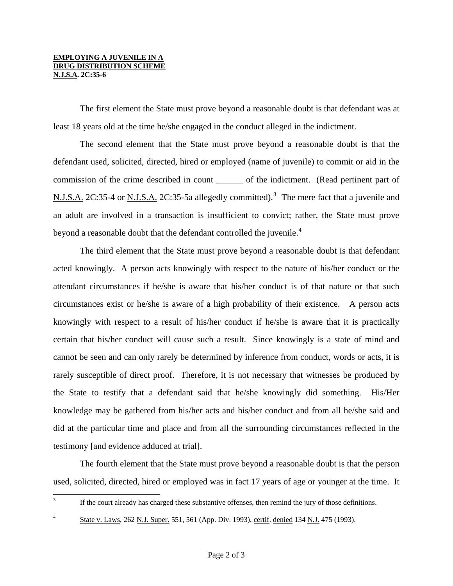#### **EMPLOYING A JUVENILE IN A DRUG DISTRIBUTION SCHEME N.J.S.A. 2C:35-6**

 The first element the State must prove beyond a reasonable doubt is that defendant was at least 18 years old at the time he/she engaged in the conduct alleged in the indictment.

 The second element that the State must prove beyond a reasonable doubt is that the defendant used, solicited, directed, hired or employed (name of juvenile) to commit or aid in the commission of the crime described in count \_\_\_\_\_\_\_ of the indictment. (Read pertinent part of N.J.S.A. 2C:[3](#page-0-2)5-4 or N.J.S.A. 2C:35-5a allegedly committed).<sup>3</sup> The mere fact that a juvenile and an adult are involved in a transaction is insufficient to convict; rather, the State must prove beyond a reasonable doubt that the defendant controlled the juvenile.<sup>[4](#page-1-0)</sup>

 The third element that the State must prove beyond a reasonable doubt is that defendant acted knowingly. A person acts knowingly with respect to the nature of his/her conduct or the attendant circumstances if he/she is aware that his/her conduct is of that nature or that such circumstances exist or he/she is aware of a high probability of their existence. A person acts knowingly with respect to a result of his/her conduct if he/she is aware that it is practically certain that his/her conduct will cause such a result. Since knowingly is a state of mind and cannot be seen and can only rarely be determined by inference from conduct, words or acts, it is rarely susceptible of direct proof. Therefore, it is not necessary that witnesses be produced by the State to testify that a defendant said that he/she knowingly did something. His/Her knowledge may be gathered from his/her acts and his/her conduct and from all he/she said and did at the particular time and place and from all the surrounding circumstances reflected in the testimony [and evidence adduced at trial].

 The fourth element that the State must prove beyond a reasonable doubt is that the person used, solicited, directed, hired or employed was in fact 17 years of age or younger at the time. It

# 3

<span id="page-1-0"></span>4

If the court already has charged these substantive offenses, then remind the jury of those definitions.

State v. Laws, 262 N.J. Super. 551, 561 (App. Div. 1993), certif. denied 134 N.J. 475 (1993).